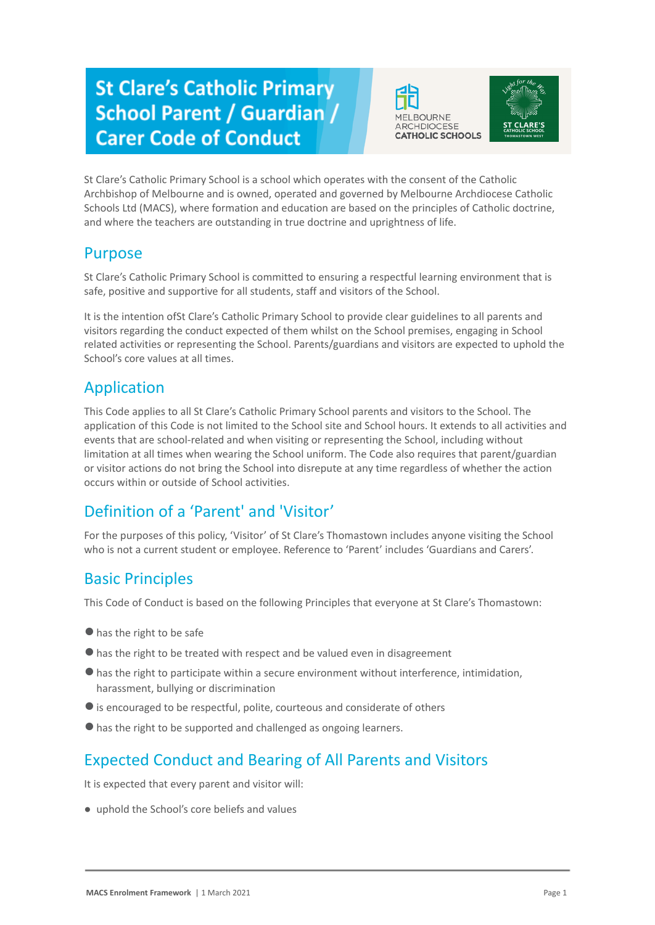# **St Clare's Catholic Primary School Parent / Guardian / Carer Code of Conduct**





St Clare's Catholic Primary School is a school which operates with the consent of the Catholic Archbishop of Melbourne and is owned, operated and governed by Melbourne Archdiocese Catholic Schools Ltd (MACS), where formation and education are based on the principles of Catholic doctrine, and where the teachers are outstanding in true doctrine and uprightness of life.

#### Purpose

St Clare's Catholic Primary School is committed to ensuring a respectful learning environment that is safe, positive and supportive for all students, staff and visitors of the School.

It is the intention ofSt Clare's Catholic Primary School to provide clear guidelines to all parents and visitors regarding the conduct expected of them whilst on the School premises, engaging in School related activities or representing the School. Parents/guardians and visitors are expected to uphold the School's core values at all times.

#### Application

This Code applies to all St Clare's Catholic Primary School parents and visitors to the School. The application of this Code is not limited to the School site and School hours. It extends to all activities and events that are school-related and when visiting or representing the School, including without limitation at all times when wearing the School uniform. The Code also requires that parent/guardian or visitor actions do not bring the School into disrepute at any time regardless of whether the action occurs within or outside of School activities.

# Definition of a 'Parent' and 'Visitor'

For the purposes of this policy, 'Visitor' of St Clare's Thomastown includes anyone visiting the School who is not a current student or employee. Reference to 'Parent' includes 'Guardians and Carers'.

## Basic Principles

This Code of Conduct is based on the following Principles that everyone at St Clare's Thomastown:

- ●has the right to be safe
- ●has the right to be treated with respect and be valued even in disagreement
- ●has the right to participate within a secure environment without interference, intimidation, harassment, bullying or discrimination
- ●is encouraged to be respectful, polite, courteous and considerate of others
- ●has the right to be supported and challenged as ongoing learners.

## Expected Conduct and Bearing of All Parents and Visitors

It is expected that every parent and visitor will:

● uphold the School's core beliefs and values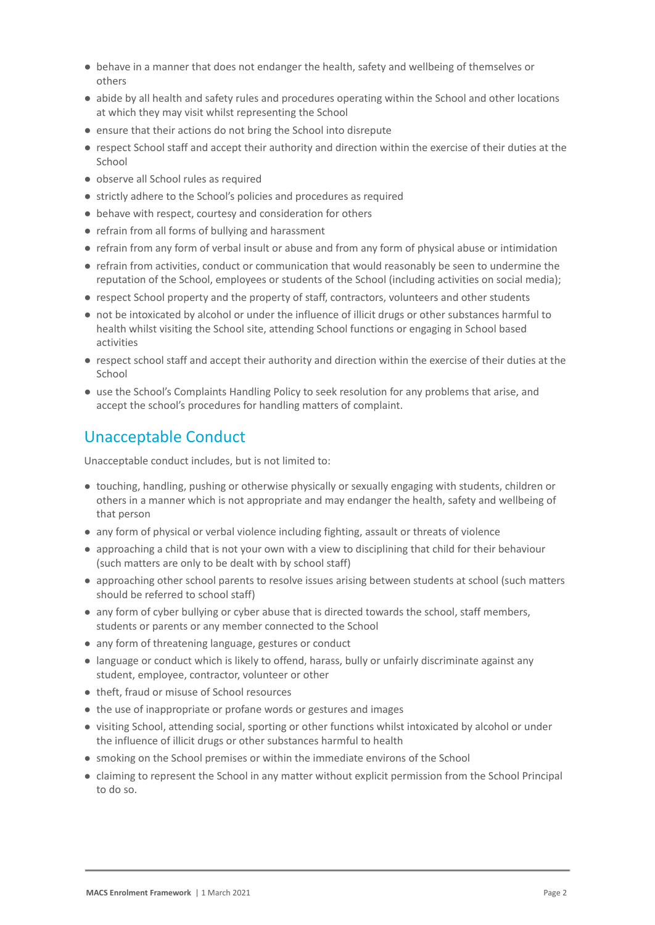- behave in a manner that does not endanger the health, safety and wellbeing of themselves or others
- abide by all health and safety rules and procedures operating within the School and other locations at which they may visit whilst representing the School
- ensure that their actions do not bring the School into disrepute
- respect School staff and accept their authority and direction within the exercise of their duties at the School
- observe all School rules as required
- strictly adhere to the School's policies and procedures as required
- behave with respect, courtesy and consideration for others
- refrain from all forms of bullying and harassment
- refrain from any form of verbal insult or abuse and from any form of physical abuse or intimidation
- refrain from activities, conduct or communication that would reasonably be seen to undermine the reputation of the School, employees or students of the School (including activities on social media);
- respect School property and the property of staff, contractors, volunteers and other students
- not be intoxicated by alcohol or under the influence of illicit drugs or other substances harmful to health whilst visiting the School site, attending School functions or engaging in School based activities
- respect school staff and accept their authority and direction within the exercise of their duties at the School
- use the School's Complaints Handling Policy to seek resolution for any problems that arise, and accept the school's procedures for handling matters of complaint.

#### Unacceptable Conduct

Unacceptable conduct includes, but is not limited to:

- touching, handling, pushing or otherwise physically or sexually engaging with students, children or others in a manner which is not appropriate and may endanger the health, safety and wellbeing of that person
- any form of physical or verbal violence including fighting, assault or threats of violence
- approaching a child that is not your own with a view to disciplining that child for their behaviour (such matters are only to be dealt with by school staff)
- approaching other school parents to resolve issues arising between students at school (such matters should be referred to school staff)
- any form of cyber bullying or cyber abuse that is directed towards the school, staff members, students or parents or any member connected to the School
- any form of threatening language, gestures or conduct
- language or conduct which is likely to offend, harass, bully or unfairly discriminate against any student, employee, contractor, volunteer or other
- theft, fraud or misuse of School resources
- the use of inappropriate or profane words or gestures and images
- visiting School, attending social, sporting or other functions whilst intoxicated by alcohol or under the influence of illicit drugs or other substances harmful to health
- smoking on the School premises or within the immediate environs of the School
- claiming to represent the School in any matter without explicit permission from the School Principal to do so.